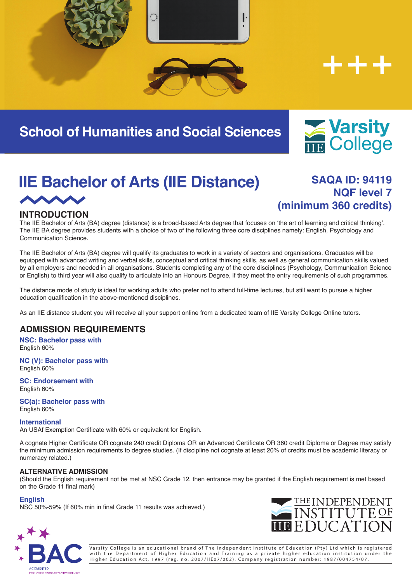



# **School of Humanities and Social Sciences**



# **IIE Bachelor of Arts (IIE Distance)** SAQA ID: 94119 **AND**

# **NQF level 7 (minimum 360 credits)**

## **INTRODUCTION**

The IIE Bachelor of Arts (BA) degree (distance) is a broad-based Arts degree that focuses on 'the art of learning and critical thinking'. The IIE BA degree provides students with a choice of two of the following three core disciplines namely: English, Psychology and Communication Science.

The IIE Bachelor of Arts (BA) degree will qualify its graduates to work in a variety of sectors and organisations. Graduates will be equipped with advanced writing and verbal skills, conceptual and critical thinking skills, as well as general communication skills valued by all employers and needed in all organisations. Students completing any of the core disciplines (Psychology, Communication Science or English) to third year will also qualify to articulate into an Honours Degree, if they meet the entry requirements of such programmes.

The distance mode of study is ideal for working adults who prefer not to attend full-time lectures, but still want to pursue a higher education qualification in the above-mentioned disciplines.

As an IIE distance student you will receive all your support online from a dedicated team of IIE Varsity College Online tutors.

### **ADMISSION REQUIREMENTS**

**NSC: Bachelor pass with** English 60%

**NC (V): Bachelor pass with** English 60%

**SC: Endorsement with** English 60%

**SC(a): Bachelor pass with** English 60%

#### **International**

An USAf Exemption Certificate with 60% or equivalent for English.

A cognate Higher Certificate OR cognate 240 credit Diploma OR an Advanced Certificate OR 360 credit Diploma or Degree may satisfy the minimum admission requirements to degree studies. (If discipline not cognate at least 20% of credits must be academic literacy or numeracy related.)

#### **ALTERNATIVE ADMISSION**

(Should the English requirement not be met at NSC Grade 12, then entrance may be granted if the English requirement is met based on the Grade 11 final mark)

#### **English**

NSC 50%-59% (If 60% min in final Grade 11 results was achieved.)





Varsity College is an educational brand of The Independent Institute of Education (Pty) Ltd which is registered with the Department of Higher Education and Training as a private higher education institution under the Higher Education Act, 1997 (reg. no. 2007/HE07/002). Company registration number: 1987/004754/07.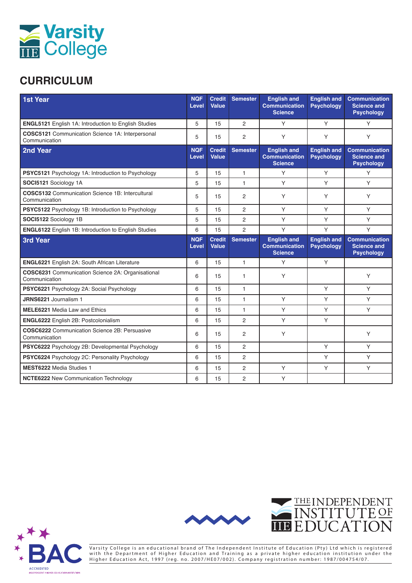

## **CURRICULUM**

| 1st Year                                                                 | <b>NQF</b><br><b>Level</b> | <b>Credit</b><br>Value | <b>Semester</b> | <b>English and</b><br><b>Communication</b><br><b>Science</b> | <b>English and</b><br><b>Psychology</b> | <b>Communication</b><br><b>Science and</b><br><b>Psychology</b> |
|--------------------------------------------------------------------------|----------------------------|------------------------|-----------------|--------------------------------------------------------------|-----------------------------------------|-----------------------------------------------------------------|
| <b>ENGL5121</b> English 1A: Introduction to English Studies              | 5                          | 15                     | $\overline{2}$  | Υ                                                            | Y                                       | Y                                                               |
| <b>COSC5121</b> Communication Science 1A: Interpersonal<br>Communication | 5                          | 15                     | 2               | Υ                                                            | Υ                                       | Y                                                               |
| 2nd Year                                                                 | <b>NQF</b><br><b>Level</b> | <b>Credit</b><br>Value | <b>Semester</b> | <b>English and</b><br><b>Communication</b><br><b>Science</b> | <b>English and</b><br><b>Psychology</b> | <b>Communication</b><br><b>Science and</b><br><b>Psychology</b> |
| <b>PSYC5121</b> Psychology 1A: Introduction to Psychology                | 5                          | 15                     | $\mathbf{1}$    | Y                                                            | Y                                       | Y                                                               |
| SOCI5121 Sociology 1A                                                    | 5                          | 15                     | $\mathbf{1}$    | Υ                                                            | Y                                       | Y                                                               |
| <b>COSC5132</b> Communication Science 1B: Intercultural<br>Communication | 5                          | 15                     | 2               | Υ                                                            | Υ                                       | Y                                                               |
| PSYC5122 Psychology 1B: Introduction to Psychology                       | 5                          | 15                     | 2               | Y                                                            | Y                                       | Y                                                               |
| SOCI5122 Sociology 1B                                                    | 5                          | 15                     | $\overline{2}$  | Y                                                            | Y                                       | Y                                                               |
| <b>ENGL6122</b> English 1B: Introduction to English Studies              | 6                          | 15                     | $\overline{2}$  | Y                                                            | Y                                       | Y                                                               |
| <b>3rd Year</b>                                                          | <b>NQF</b><br>Level        | <b>Credit</b><br>Value | <b>Semester</b> | <b>English and</b><br><b>Communication</b><br><b>Science</b> | <b>English and</b><br><b>Psychology</b> | <b>Communication</b><br><b>Science and</b><br><b>Psychology</b> |
| ENGL6221 English 2A: South African Literature                            | 6                          | 15                     | 1               | Y                                                            | Y                                       |                                                                 |
| COSC6231 Communication Science 2A: Organisational<br>Communication       | 6                          | 15                     | 1               | Υ                                                            |                                         | Υ                                                               |
| PSYC6221 Psychology 2A: Social Psychology                                | 6                          | 15                     | $\mathbf{1}$    |                                                              | Y                                       | Y                                                               |
| JRNS6221 Journalism 1                                                    | 6                          | 15                     | $\mathbf{1}$    | Y                                                            | Y                                       | Y                                                               |
| <b>MELE6221 Media Law and Ethics</b>                                     | 6                          | 15                     | $\mathbf{1}$    | Y                                                            | Y                                       | Y                                                               |
| <b>ENGL6222</b> English 2B: Postcolonialism                              | 6                          | 15                     | $\overline{2}$  | Y                                                            | Y                                       |                                                                 |
| <b>COSC6222</b> Communication Science 2B: Persuasive<br>Communication    | 6                          | 15                     | 2               | Y                                                            |                                         | Y                                                               |
| PSYC6222 Psychology 2B: Developmental Psychology                         | 6                          | 15                     | $\overline{2}$  |                                                              | Y                                       | Y                                                               |
| PSYC6224 Psychology 2C: Personality Psychology                           | 6                          | 15                     | 2               |                                                              | Y                                       | Y                                                               |
| <b>MEST6222 Media Studies 1</b>                                          | 6                          | 15                     | 2               | Y                                                            | Y                                       | Y                                                               |
| <b>NCTE6222 New Communication Technology</b>                             | 6                          | 15                     | $\overline{2}$  | Y                                                            |                                         |                                                                 |





Varsity College is an educational brand of The Independent Institute of Education (Pty) Ltd which is registered with the Department of Higher Education and Training as a private higher education institution under the Higher Education Act, 1997 (reg. no. 2007/HE07/002). Company registration number: 1987/004754/07.